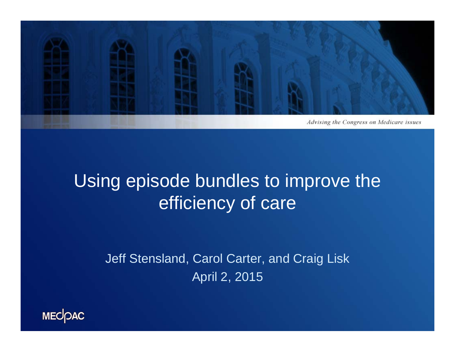

### Using episode bundles to improve the efficiency of care

Jeff Stensland, Carol Carter, and Craig Lisk April 2, 2015

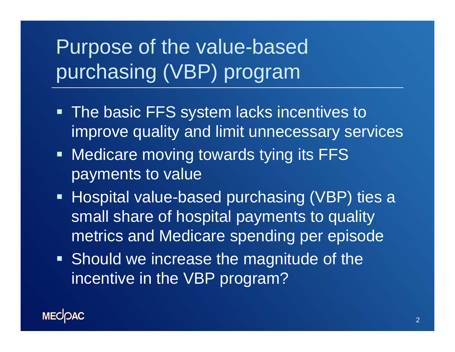## Purpose of the value-based purchasing (VBP) program

- **The basic FFS system lacks incentives to** improve quality and limit unnecessary services
- **Medicare moving towards tying its FFS** payments to value
- Hospital value-based purchasing (VBP) ties a small share of hospital payments to quality metrics and Medicare spending per episode
- **Should we increase the magnitude of the** incentive in the VBP program?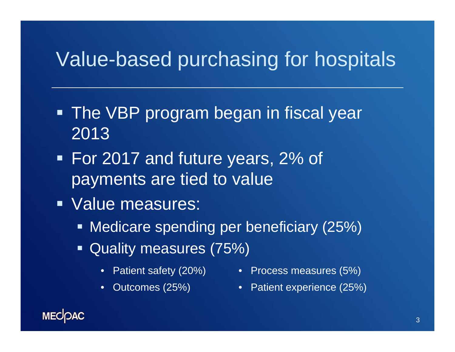### Value-based purchasing for hospitals

- **The VBP program began in fiscal year** 2013
- For 2017 and future years, 2% of payments are tied to value
- Value measures:
	- **Medicare spending per beneficiary (25%)**
	- **Quality measures (75%)** 
		-
		- Patient safety (20%) Process measures (5%)
		- Outcomes (25%) Patient experience (25%)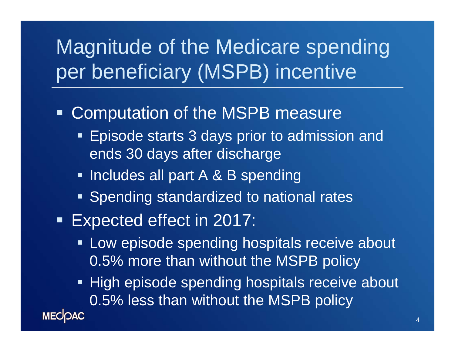# Magnitude of the Medicare spending per beneficiary (MSPB) incentive

#### **- Computation of the MSPB measure**

- **Episode starts 3 days prior to admission and** ends 30 days after discharge
- **Includes all part A & B spending**
- **Spending standardized to national rates**
- **Expected effect in 2017:** 
	- **EXTE:** Low episode spending hospitals receive about 0.5% more than without the MSPB policy
	- **High episode spending hospitals receive about** 0.5% less than without the MSPB policy

**MECOAC**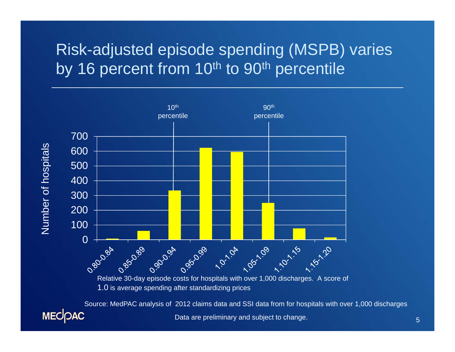#### Risk-adjusted episode spending (MSPB) varies by 16 percent from 10<sup>th</sup> to 90<sup>th</sup> percentile



Source: MedPAC analysis of 2012 claims data and SSI data from for hospitals with over 1,000 discharges**MECOAC** Data are preliminary and subject to change.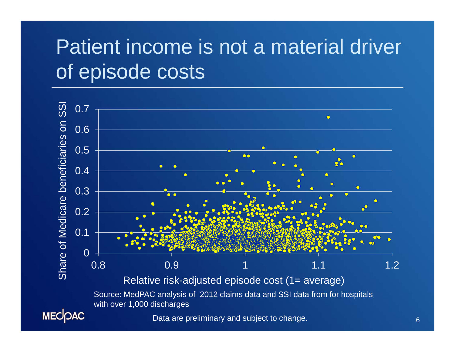# Patient income is not a material driver of episode costs



6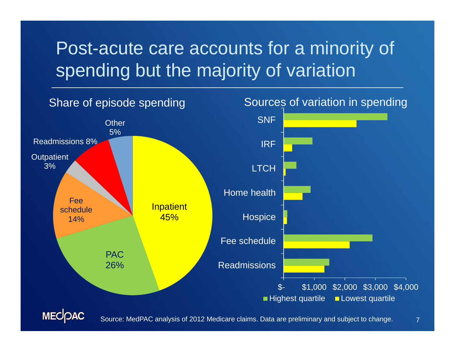### Post-acute care accounts for a minority of spending but the majority of variation



7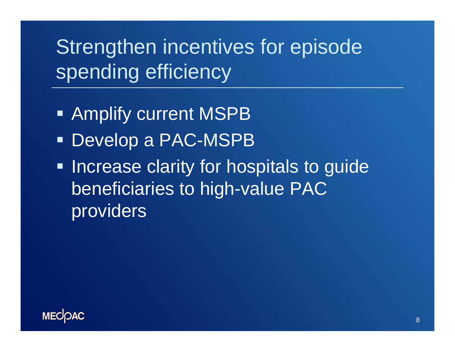Strengthen incentives for episode spending efficiency

- Amplify current MSPB
- Develop a PAC-MSPB
- **Increase clarity for hospitals to guide** beneficiaries to high-value PAC providers

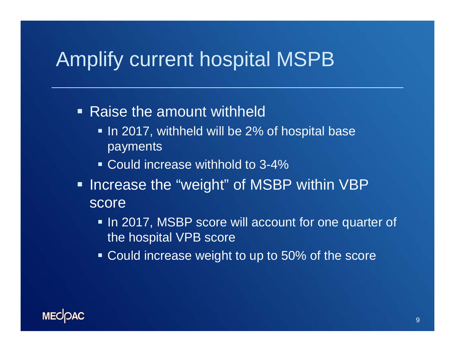### Amplify current hospital MSPB

- Raise the amount withheld
	- $\blacksquare$  In 2017, withheld will be 2% of hospital base payments
	- Could increase withhold to 3-4%
- **Increase the "weight" of MSBP within VBP** score
	- In 2017, MSBP score will account for one quarter of the hospital VPB score
	- Could increase weight to up to 50% of the score

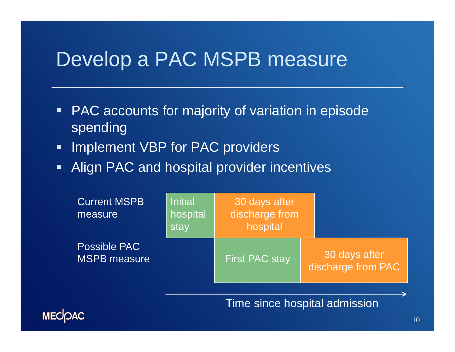### Develop a PAC MSPB measure

- PAC accounts for majority of variation in episode spending
- $\blacksquare$ Implement VBP for PAC providers
- $\blacksquare$ Align PAC and hospital provider incentives

| <b>Current MSPB</b><br>measure             | <b>Initial</b><br>hospital<br>stay | 30 days after<br>discharge from<br>hospital |                                     |
|--------------------------------------------|------------------------------------|---------------------------------------------|-------------------------------------|
| <b>Possible PAC</b><br><b>MSPB</b> measure |                                    | <b>First PAC stay</b>                       | 30 days after<br>discharge from PAC |

Time since hospital admission

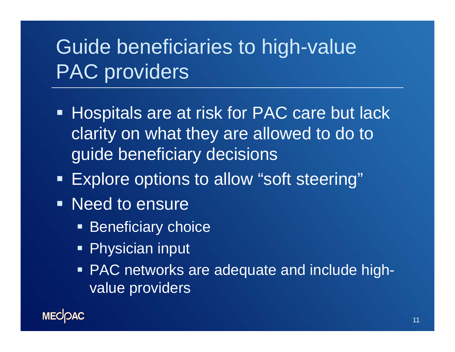# Guide beneficiaries to high-value PAC providers

- **Hospitals are at risk for PAC care but lack** clarity on what they are allowed to do to guide beneficiary decisions
- Explore options to allow "soft steering"
- **Need to ensure** 
	- **Beneficiary choice**
	- Physician input
	- **PAC networks are adequate and include high**value providers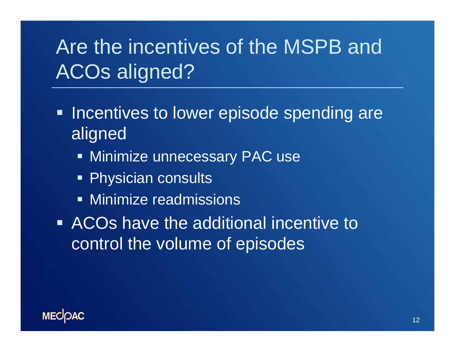# Are the incentives of the MSPB and ACOs aligned?

- **Incentives to lower episode spending are** aligned
	- **Minimize unnecessary PAC use**
	- **Physician consults**
	- **Minimize readmissions**
- **EXTE:** ACOs have the additional incentive to control the volume of episodes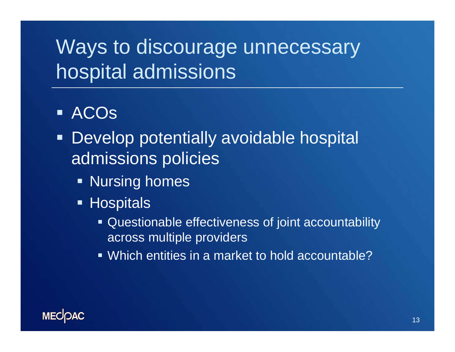# Ways to discourage unnecessary hospital admissions

#### ACOs

- **Develop potentially avoidable hospital** admissions policies
	- **Refing homes**
	- **Hospitals** 
		- Questionable effectiveness of joint accountability across multiple providers
		- Which entities in a market to hold accountable?